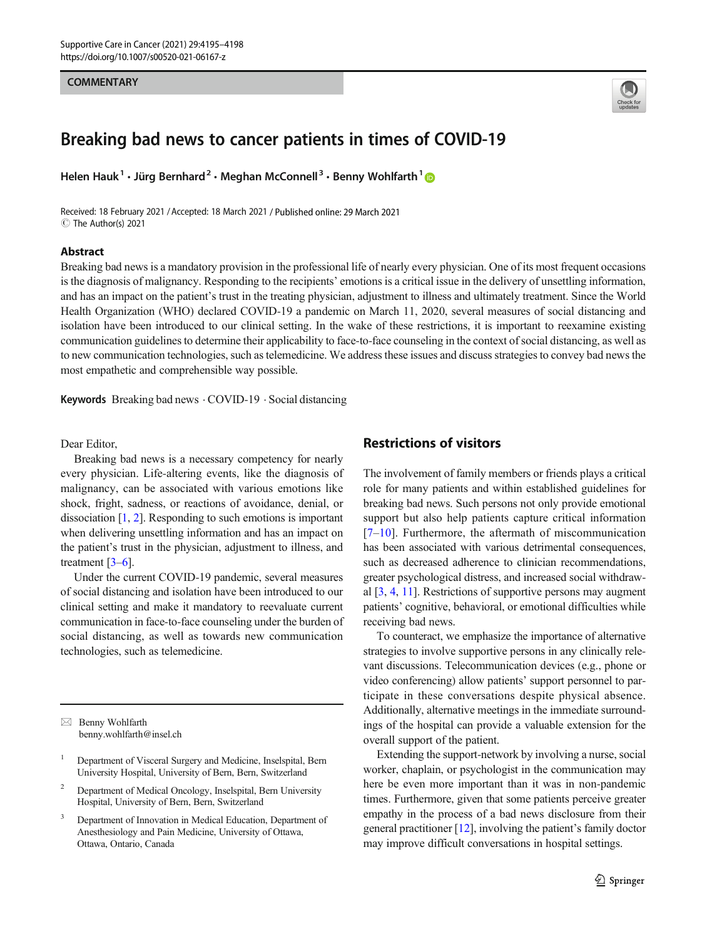#### **COMMENTARY**



# Breaking bad news to cancer patients in times of COVID-19

Helen Hauk<sup>1</sup> · Jürg Bernhard<sup>2</sup> · Meghan McConnell<sup>3</sup> · Benny Wohlfarth<sup>1</sup>

Received: 18 February 2021 /Accepted: 18 March 2021 / Published online: 29 March 2021  $\circledcirc$  The Author(s) 2021

#### Abstract

Breaking bad news is a mandatory provision in the professional life of nearly every physician. One of its most frequent occasions is the diagnosis of malignancy. Responding to the recipients' emotions is a critical issue in the delivery of unsettling information, and has an impact on the patient's trust in the treating physician, adjustment to illness and ultimately treatment. Since the World Health Organization (WHO) declared COVID-19 a pandemic on March 11, 2020, several measures of social distancing and isolation have been introduced to our clinical setting. In the wake of these restrictions, it is important to reexamine existing communication guidelines to determine their applicability to face-to-face counseling in the context of social distancing, as well as to new communication technologies, such as telemedicine. We address these issues and discuss strategies to convey bad news the most empathetic and comprehensible way possible.

Keywords Breaking bad news . COVID-19 . Social distancing

Dear Editor,

Breaking bad news is a necessary competency for nearly every physician. Life-altering events, like the diagnosis of malignancy, can be associated with various emotions like shock, fright, sadness, or reactions of avoidance, denial, or dissociation [[1,](#page-2-0) [2](#page-2-0)]. Responding to such emotions is important when delivering unsettling information and has an impact on the patient's trust in the physician, adjustment to illness, and treatment  $[3-6]$  $[3-6]$  $[3-6]$ .

Under the current COVID-19 pandemic, several measures of social distancing and isolation have been introduced to our clinical setting and make it mandatory to reevaluate current communication in face-to-face counseling under the burden of social distancing, as well as towards new communication technologies, such as telemedicine.

 $\boxtimes$  Benny Wohlfarth [benny.wohlfarth@insel.ch](mailto:benny.wohlfarth@insel.ch)

- <sup>1</sup> Department of Visceral Surgery and Medicine, Inselspital, Bern University Hospital, University of Bern, Bern, Switzerland
- <sup>2</sup> Department of Medical Oncology, Inselspital, Bern University Hospital, University of Bern, Bern, Switzerland
- <sup>3</sup> Department of Innovation in Medical Education, Department of Anesthesiology and Pain Medicine, University of Ottawa, Ottawa, Ontario, Canada

# Restrictions of visitors

The involvement of family members or friends plays a critical role for many patients and within established guidelines for breaking bad news. Such persons not only provide emotional support but also help patients capture critical information  $[7–10]$  $[7–10]$  $[7–10]$ . Furthermore, the aftermath of miscommunication has been associated with various detrimental consequences. such as decreased adherence to clinician recommendations, greater psychological distress, and increased social withdrawal [[3,](#page-2-0) [4,](#page-2-0) [11](#page-2-0)]. Restrictions of supportive persons may augment patients' cognitive, behavioral, or emotional difficulties while receiving bad news.

To counteract, we emphasize the importance of alternative strategies to involve supportive persons in any clinically relevant discussions. Telecommunication devices (e.g., phone or video conferencing) allow patients' support personnel to participate in these conversations despite physical absence. Additionally, alternative meetings in the immediate surroundings of the hospital can provide a valuable extension for the overall support of the patient.

Extending the support-network by involving a nurse, social worker, chaplain, or psychologist in the communication may here be even more important than it was in non-pandemic times. Furthermore, given that some patients perceive greater empathy in the process of a bad news disclosure from their general practitioner [\[12\]](#page-2-0), involving the patient's family doctor may improve difficult conversations in hospital settings.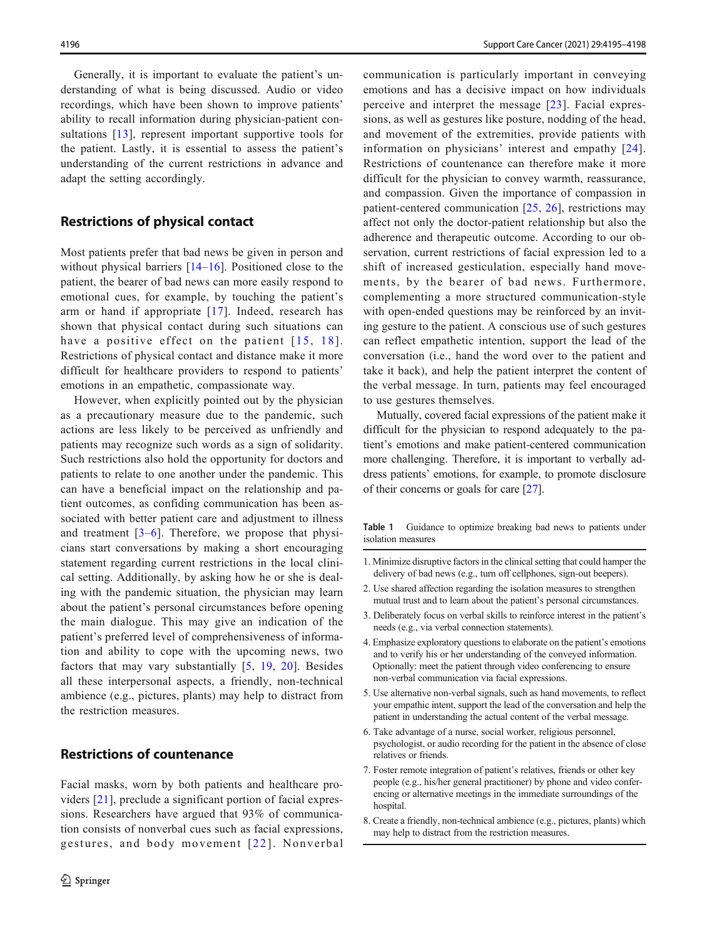<span id="page-1-0"></span>Generally, it is important to evaluate the patient's understanding of what is being discussed. Audio or video recordings, which have been shown to improve patients' ability to recall information during physician-patient con-sultations [\[13\]](#page-2-0), represent important supportive tools for the patient. Lastly, it is essential to assess the patient's understanding of the current restrictions in advance and adapt the setting accordingly.

## Restrictions of physical contact

Most patients prefer that bad news be given in person and without physical barriers  $[14–16]$  $[14–16]$  $[14–16]$ . Positioned close to the patient, the bearer of bad news can more easily respond to emotional cues, for example, by touching the patient's arm or hand if appropriate [[17\]](#page-2-0). Indeed, research has shown that physical contact during such situations can have a positive effect on the patient  $[15, 18]$  $[15, 18]$  $[15, 18]$ . Restrictions of physical contact and distance make it more difficult for healthcare providers to respond to patients' emotions in an empathetic, compassionate way.

However, when explicitly pointed out by the physician as a precautionary measure due to the pandemic, such actions are less likely to be perceived as unfriendly and patients may recognize such words as a sign of solidarity. Such restrictions also hold the opportunity for doctors and patients to relate to one another under the pandemic. This can have a beneficial impact on the relationship and patient outcomes, as confiding communication has been associated with better patient care and adjustment to illness and treatment  $[3-6]$  $[3-6]$  $[3-6]$  $[3-6]$  $[3-6]$ . Therefore, we propose that physicians start conversations by making a short encouraging statement regarding current restrictions in the local clinical setting. Additionally, by asking how he or she is dealing with the pandemic situation, the physician may learn about the patient's personal circumstances before opening the main dialogue. This may give an indication of the patient's preferred level of comprehensiveness of information and ability to cope with the upcoming news, two factors that may vary substantially [\[5](#page-2-0), [19,](#page-2-0) [20](#page-2-0)]. Besides all these interpersonal aspects, a friendly, non-technical ambience (e.g., pictures, plants) may help to distract from the restriction measures.

### Restrictions of countenance

Facial masks, worn by both patients and healthcare providers [[21](#page-2-0)], preclude a significant portion of facial expressions. Researchers have argued that 93% of communication consists of nonverbal cues such as facial expressions, gestures, and body movement [22]. Nonverbal communication is particularly important in conveying emotions and has a decisive impact on how individuals perceive and interpret the message [[23](#page-2-0)]. Facial expressions, as well as gestures like posture, nodding of the head, and movement of the extremities, provide patients with information on physicians' interest and empathy [[24](#page-3-0)]. Restrictions of countenance can therefore make it more difficult for the physician to convey warmth, reassurance, and compassion. Given the importance of compassion in patient-centered communication [[25,](#page-3-0) [26\]](#page-3-0), restrictions may affect not only the doctor-patient relationship but also the adherence and therapeutic outcome. According to our observation, current restrictions of facial expression led to a shift of increased gesticulation, especially hand movements, by the bearer of bad news. Furthermore, complementing a more structured communication-style with open-ended questions may be reinforced by an inviting gesture to the patient. A conscious use of such gestures can reflect empathetic intention, support the lead of the conversation (i.e., hand the word over to the patient and take it back), and help the patient interpret the content of the verbal message. In turn, patients may feel encouraged to use gestures themselves.

Mutually, covered facial expressions of the patient make it difficult for the physician to respond adequately to the patient's emotions and make patient-centered communication more challenging. Therefore, it is important to verbally address patients' emotions, for example, to promote disclosure of their concerns or goals for care [\[27](#page-3-0)].

Table 1 Guidance to optimize breaking bad news to patients under isolation measures

- 1. Minimize disruptive factors in the clinical setting that could hamper the delivery of bad news (e.g., turn off cellphones, sign-out beepers).
- 2. Use shared affection regarding the isolation measures to strengthen mutual trust and to learn about the patient's personal circumstances.
- 3. Deliberately focus on verbal skills to reinforce interest in the patient's needs (e.g., via verbal connection statements).
- 4. Emphasize exploratory questions to elaborate on the patient's emotions and to verify his or her understanding of the conveyed information. Optionally: meet the patient through video conferencing to ensure non-verbal communication via facial expressions.
- 5. Use alternative non-verbal signals, such as hand movements, to reflect your empathic intent, support the lead of the conversation and help the patient in understanding the actual content of the verbal message.
- 6. Take advantage of a nurse, social worker, religious personnel, psychologist, or audio recording for the patient in the absence of close relatives or friends.
- 7. Foster remote integration of patient's relatives, friends or other key people (e.g., his/her general practitioner) by phone and video conferencing or alternative meetings in the immediate surroundings of the hospital.
- 8. Create a friendly, non-technical ambience (e.g., pictures, plants) which may help to distract from the restriction measures.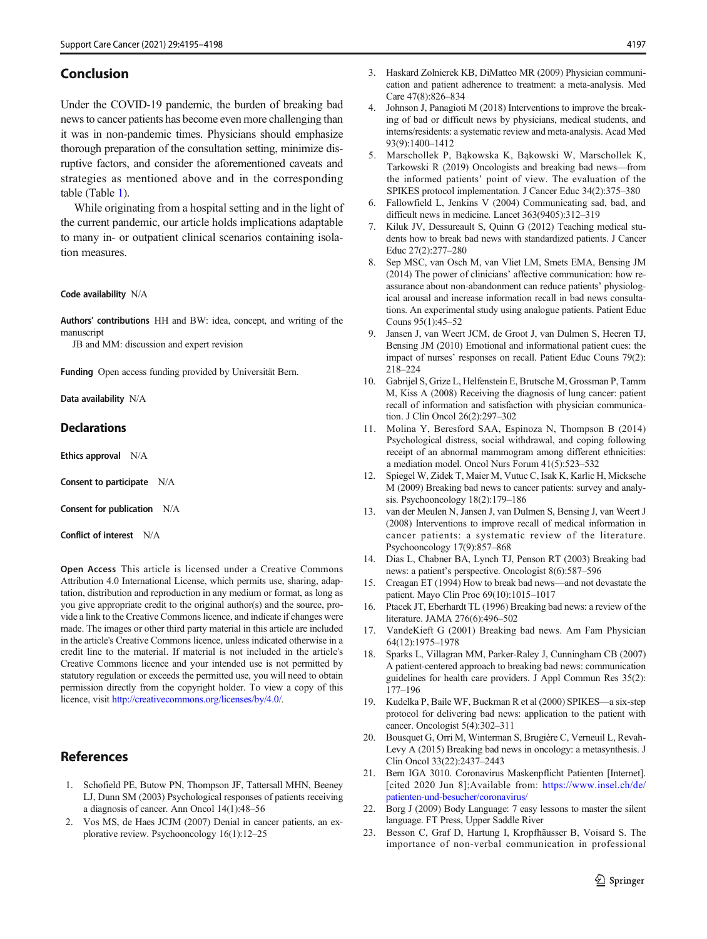#### <span id="page-2-0"></span>Conclusion

Under the COVID-19 pandemic, the burden of breaking bad news to cancer patients has become even more challenging than it was in non-pandemic times. Physicians should emphasize thorough preparation of the consultation setting, minimize disruptive factors, and consider the aforementioned caveats and strategies as mentioned above and in the corresponding table (Table [1\)](#page-1-0).

While originating from a hospital setting and in the light of the current pandemic, our article holds implications adaptable to many in- or outpatient clinical scenarios containing isolation measures.

#### Code availability N/A

Authors' contributions HH and BW: idea, concept, and writing of the manuscript

JB and MM: discussion and expert revision

Funding Open access funding provided by Universität Bern.

Data availability N/A

#### **Declarations**

Ethics approval N/A

Consent to participate N/A

Consent for publication N/A

Conflict of interest N/A

Open Access This article is licensed under a Creative Commons Attribution 4.0 International License, which permits use, sharing, adaptation, distribution and reproduction in any medium or format, as long as you give appropriate credit to the original author(s) and the source, provide a link to the Creative Commons licence, and indicate if changes were made. The images or other third party material in this article are included in the article's Creative Commons licence, unless indicated otherwise in a credit line to the material. If material is not included in the article's Creative Commons licence and your intended use is not permitted by statutory regulation or exceeds the permitted use, you will need to obtain permission directly from the copyright holder. To view a copy of this licence, visit <http://creativecommons.org/licenses/by/4.0/>.

# **References**

- 1. Schofield PE, Butow PN, Thompson JF, Tattersall MHN, Beeney LJ, Dunn SM (2003) Psychological responses of patients receiving a diagnosis of cancer. Ann Oncol 14(1):48–56
- 2. Vos MS, de Haes JCJM (2007) Denial in cancer patients, an explorative review. Psychooncology 16(1):12–25
- 3. Haskard Zolnierek KB, DiMatteo MR (2009) Physician communication and patient adherence to treatment: a meta-analysis. Med Care 47(8):826–834
- 4. Johnson J, Panagioti M (2018) Interventions to improve the breaking of bad or difficult news by physicians, medical students, and interns/residents: a systematic review and meta-analysis. Acad Med 93(9):1400–1412
- 5. Marschollek P, Bąkowska K, Bąkowski W, Marschollek K, Tarkowski R (2019) Oncologists and breaking bad news—from the informed patients' point of view. The evaluation of the SPIKES protocol implementation. J Cancer Educ 34(2):375–380
- 6. Fallowfield L, Jenkins V (2004) Communicating sad, bad, and difficult news in medicine. Lancet 363(9405):312–319
- 7. Kiluk JV, Dessureault S, Quinn G (2012) Teaching medical students how to break bad news with standardized patients. J Cancer Educ 27(2):277–280
- 8. Sep MSC, van Osch M, van Vliet LM, Smets EMA, Bensing JM (2014) The power of clinicians' affective communication: how reassurance about non-abandonment can reduce patients' physiological arousal and increase information recall in bad news consultations. An experimental study using analogue patients. Patient Educ Couns 95(1):45–52
- 9. Jansen J, van Weert JCM, de Groot J, van Dulmen S, Heeren TJ, Bensing JM (2010) Emotional and informational patient cues: the impact of nurses' responses on recall. Patient Educ Couns 79(2): 218–224
- 10. Gabrijel S, Grize L, Helfenstein E, Brutsche M, Grossman P, Tamm M, Kiss A (2008) Receiving the diagnosis of lung cancer: patient recall of information and satisfaction with physician communication. J Clin Oncol 26(2):297–302
- 11. Molina Y, Beresford SAA, Espinoza N, Thompson B (2014) Psychological distress, social withdrawal, and coping following receipt of an abnormal mammogram among different ethnicities: a mediation model. Oncol Nurs Forum 41(5):523–532
- 12. Spiegel W, Zidek T, Maier M, Vutuc C, Isak K, Karlic H, Micksche M (2009) Breaking bad news to cancer patients: survey and analysis. Psychooncology 18(2):179–186
- 13. van der Meulen N, Jansen J, van Dulmen S, Bensing J, van Weert J (2008) Interventions to improve recall of medical information in cancer patients: a systematic review of the literature. Psychooncology 17(9):857–868
- 14. Dias L, Chabner BA, Lynch TJ, Penson RT (2003) Breaking bad news: a patient's perspective. Oncologist 8(6):587–596
- 15. Creagan ET (1994) How to break bad news—and not devastate the patient. Mayo Clin Proc 69(10):1015–1017
- Ptacek JT, Eberhardt TL (1996) Breaking bad news: a review of the literature. JAMA 276(6):496–502
- 17. VandeKieft G (2001) Breaking bad news. Am Fam Physician 64(12):1975–1978
- 18. Sparks L, Villagran MM, Parker-Raley J, Cunningham CB (2007) A patient-centered approach to breaking bad news: communication guidelines for health care providers. J Appl Commun Res 35(2): 177–196
- 19. Kudelka P, Baile WF, Buckman R et al (2000) SPIKES—a six-step protocol for delivering bad news: application to the patient with cancer. Oncologist 5(4):302–311
- 20. Bousquet G, Orri M, Winterman S, Brugière C, Verneuil L, Revah-Levy A (2015) Breaking bad news in oncology: a metasynthesis. J Clin Oncol 33(22):2437–2443
- 21. Bern IGA 3010. Coronavirus Maskenpflicht Patienten [Internet]. [cited 2020 Jun 8];Available from: [https://www.insel.ch/de/](https://www.insel.ch/de/patienten-und-besucher/coronavirus/) [patienten-und-besucher/coronavirus/](https://www.insel.ch/de/patienten-und-besucher/coronavirus/)
- 22. Borg J (2009) Body Language: 7 easy lessons to master the silent language. FT Press, Upper Saddle River
- 23. Besson C, Graf D, Hartung I, Kropfhäusser B, Voisard S. The importance of non-verbal communication in professional